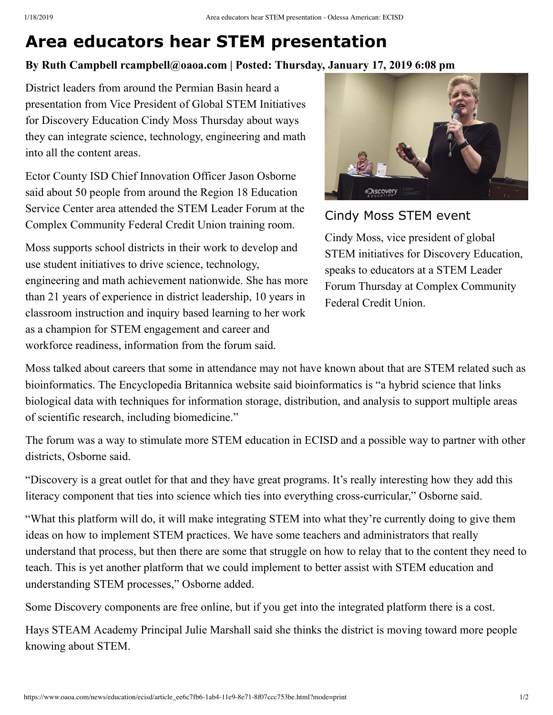## **Area educators hear STEM presentation**

## **By Ruth Campbell rcampbell@oaoa.com | Posted: Thursday, January 17, 2019 6:08 pm**

District leaders from around the Permian Basin heard a presentation from Vice President of Global STEM Initiatives for Discovery Education Cindy Moss Thursday about ways they can integrate science, technology, engineering and math into all the content areas.

Ector County ISD Chief Innovation Officer Jason Osborne said about 50 people from around the Region 18 Education Service Center area attended the STEM Leader Forum at the Complex Community Federal Credit Union training room.

Moss supports school districts in their work to develop and use student initiatives to drive science, technology, engineering and math achievement nationwide. She has more than 21 years of experience in district leadership, 10 years in classroom instruction and inquiry based learning to her work as a champion for STEM engagement and career and workforce readiness, information from the forum said.



Cindy Moss STEM event

Cindy Moss, vice president of global STEM initiatives for Discovery Education, speaks to educators at a STEM Leader Forum Thursday at Complex Community Federal Credit Union.

Moss talked about careers that some in attendance may not have known about that are STEM related such as bioinformatics. The Encyclopedia Britannica website said bioinformatics is "a hybrid science that links biological data with techniques for information storage, distribution, and analysis to support multiple areas of scientific research, including biomedicine."

The forum was a way to stimulate more STEM education in ECISD and a possible way to partner with other districts, Osborne said.

"Discovery is a great outlet for that and they have great programs. It's really interesting how they add this literacy component that ties into science which ties into everything cross-curricular," Osborne said.

"What this platform will do, it will make integrating STEM into what they're currently doing to give them ideas on how to implement STEM practices. We have some teachers and administrators that really understand that process, but then there are some that struggle on how to relay that to the content they need to teach. This is yet another platform that we could implement to better assist with STEM education and understanding STEM processes," Osborne added.

Some Discovery components are free online, but if you get into the integrated platform there is a cost.

Hays STEAM Academy Principal Julie Marshall said she thinks the district is moving toward more people knowing about STEM.